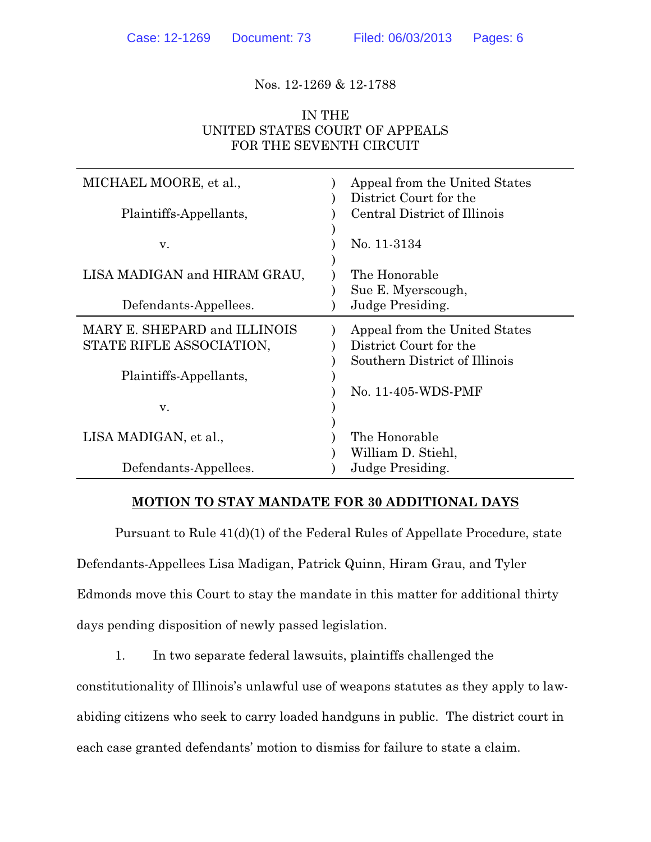Nos. 12-1269 & 12-1788

## IN THE UNITED STATES COURT OF APPEALS FOR THE SEVENTH CIRCUIT

| MICHAEL MOORE, et al.,<br>Plaintiffs-Appellants,         | Appeal from the United States<br>District Court for the<br>Central District of Illinois  |
|----------------------------------------------------------|------------------------------------------------------------------------------------------|
| V.                                                       | No. 11-3134                                                                              |
| LISA MADIGAN and HIRAM GRAU,                             | The Honorable<br>Sue E. Myerscough,                                                      |
| Defendants-Appellees.                                    | Judge Presiding.                                                                         |
| MARY E. SHEPARD and ILLINOIS<br>STATE RIFLE ASSOCIATION, | Appeal from the United States<br>District Court for the<br>Southern District of Illinois |
| Plaintiffs-Appellants,                                   | No. 11-405-WDS-PMF                                                                       |
| v.                                                       |                                                                                          |
| LISA MADIGAN, et al.,                                    | The Honorable<br>William D. Stiehl,                                                      |
| Defendants-Appellees.                                    | Judge Presiding.                                                                         |

## **MOTION TO STAY MANDATE FOR 30 ADDITIONAL DAYS**

Pursuant to Rule 41(d)(1) of the Federal Rules of Appellate Procedure, state Defendants-Appellees Lisa Madigan, Patrick Quinn, Hiram Grau, and Tyler Edmonds move this Court to stay the mandate in this matter for additional thirty days pending disposition of newly passed legislation.

1. In two separate federal lawsuits, plaintiffs challenged the

constitutionality of Illinois's unlawful use of weapons statutes as they apply to law-

abiding citizens who seek to carry loaded handguns in public. The district court in

each case granted defendants' motion to dismiss for failure to state a claim.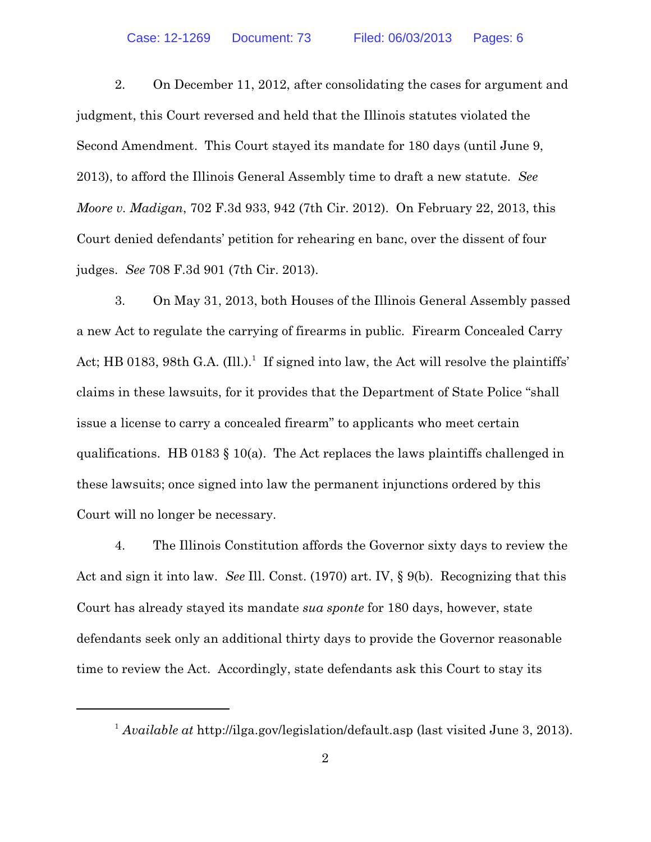2. On December 11, 2012, after consolidating the cases for argument and judgment, this Court reversed and held that the Illinois statutes violated the Second Amendment. This Court stayed its mandate for 180 days (until June 9, 2013), to afford the Illinois General Assembly time to draft a new statute. *See Moore v. Madigan*, 702 F.3d 933, 942 (7th Cir. 2012). On February 22, 2013, this Court denied defendants' petition for rehearing en banc, over the dissent of four judges. *See* 708 F.3d 901 (7th Cir. 2013).

3. On May 31, 2013, both Houses of the Illinois General Assembly passed a new Act to regulate the carrying of firearms in public. Firearm Concealed Carry Act; HB 0183, 98th G.A. (Ill.).<sup>1</sup> If signed into law, the Act will resolve the plaintiffs' claims in these lawsuits, for it provides that the Department of State Police "shall issue a license to carry a concealed firearm" to applicants who meet certain qualifications. HB 0183  $\S$  10(a). The Act replaces the laws plaintiffs challenged in these lawsuits; once signed into law the permanent injunctions ordered by this Court will no longer be necessary.

4. The Illinois Constitution affords the Governor sixty days to review the Act and sign it into law. *See* Ill. Const. (1970) art. IV, § 9(b). Recognizing that this Court has already stayed its mandate *sua sponte* for 180 days, however, state defendants seek only an additional thirty days to provide the Governor reasonable time to review the Act. Accordingly, state defendants ask this Court to stay its

<sup>&</sup>lt;sup>1</sup> Available at http://ilga.gov/legislation/default.asp (last visited June 3, 2013).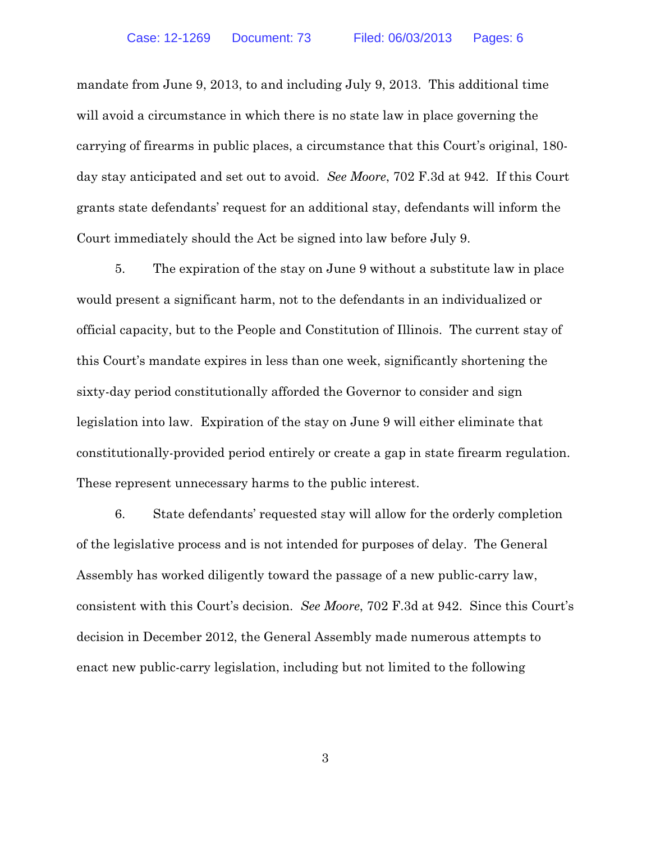mandate from June 9, 2013, to and including July 9, 2013. This additional time will avoid a circumstance in which there is no state law in place governing the carrying of firearms in public places, a circumstance that this Court's original, 180 day stay anticipated and set out to avoid. *See Moore*, 702 F.3d at 942. If this Court grants state defendants' request for an additional stay, defendants will inform the Court immediately should the Act be signed into law before July 9.

5. The expiration of the stay on June 9 without a substitute law in place would present a significant harm, not to the defendants in an individualized or official capacity, but to the People and Constitution of Illinois. The current stay of this Court's mandate expires in less than one week, significantly shortening the sixty-day period constitutionally afforded the Governor to consider and sign legislation into law. Expiration of the stay on June 9 will either eliminate that constitutionally-provided period entirely or create a gap in state firearm regulation. These represent unnecessary harms to the public interest.

6. State defendants' requested stay will allow for the orderly completion of the legislative process and is not intended for purposes of delay. The General Assembly has worked diligently toward the passage of a new public-carry law, consistent with this Court's decision. *See Moore*, 702 F.3d at 942. Since this Court's decision in December 2012, the General Assembly made numerous attempts to enact new public-carry legislation, including but not limited to the following

3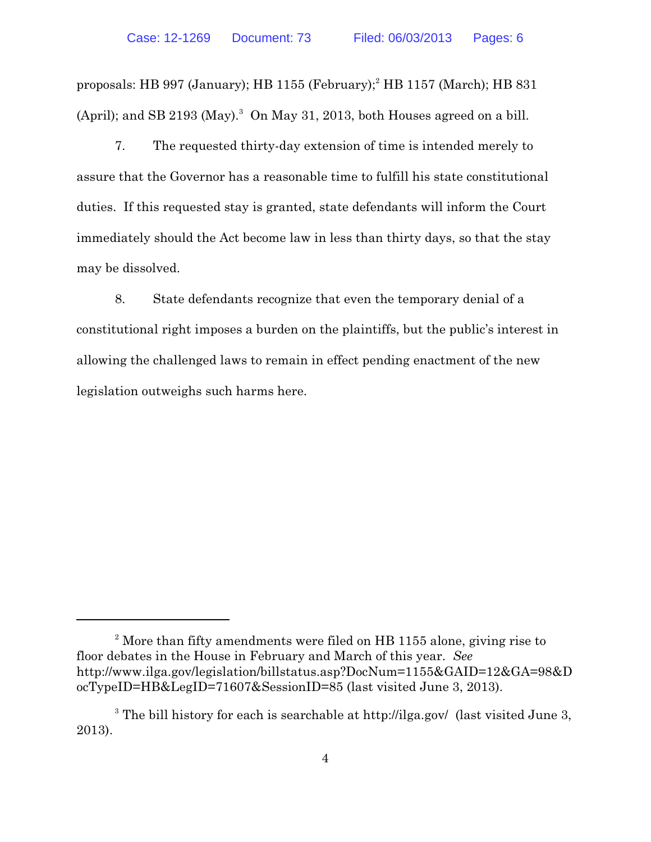proposals: HB 997 (January); HB 1155 (February); $^2$  HB 1157 (March); HB 831 (April); and SB 2193 (May).<sup>3</sup> On May 31, 2013, both Houses agreed on a bill.

7. The requested thirty-day extension of time is intended merely to assure that the Governor has a reasonable time to fulfill his state constitutional duties. If this requested stay is granted, state defendants will inform the Court immediately should the Act become law in less than thirty days, so that the stay may be dissolved.

8. State defendants recognize that even the temporary denial of a constitutional right imposes a burden on the plaintiffs, but the public's interest in allowing the challenged laws to remain in effect pending enactment of the new legislation outweighs such harms here.

 $3$  More than fifty amendments were filed on HB 1155 alone, giving rise to floor debates in the House in February and March of this year. *See* http://www.ilga.gov/legislation/billstatus.asp?DocNum=1155&GAID=12&GA=98&D ocTypeID=HB&LegID=71607&SessionID=85 (last visited June 3, 2013).

 $3$  The bill history for each is searchable at http://ilga.gov/ (last visited June 3, 2013).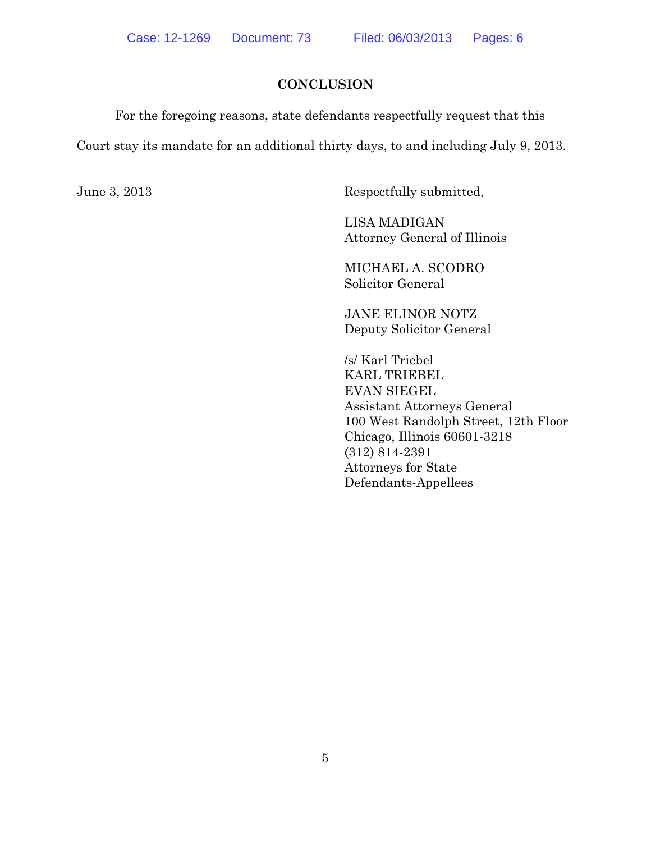## **CONCLUSION**

For the foregoing reasons, state defendants respectfully request that this Court stay its mandate for an additional thirty days, to and including July 9, 2013.

June 3, 2013 Respectfully submitted,

LISA MADIGAN Attorney General of Illinois

MICHAEL A. SCODRO Solicitor General

JANE ELINOR NOTZ Deputy Solicitor General

/s/ Karl Triebel KARL TRIEBEL EVAN SIEGEL Assistant Attorneys General 100 West Randolph Street, 12th Floor Chicago, Illinois 60601-3218 (312) 814-2391 Attorneys for State Defendants-Appellees